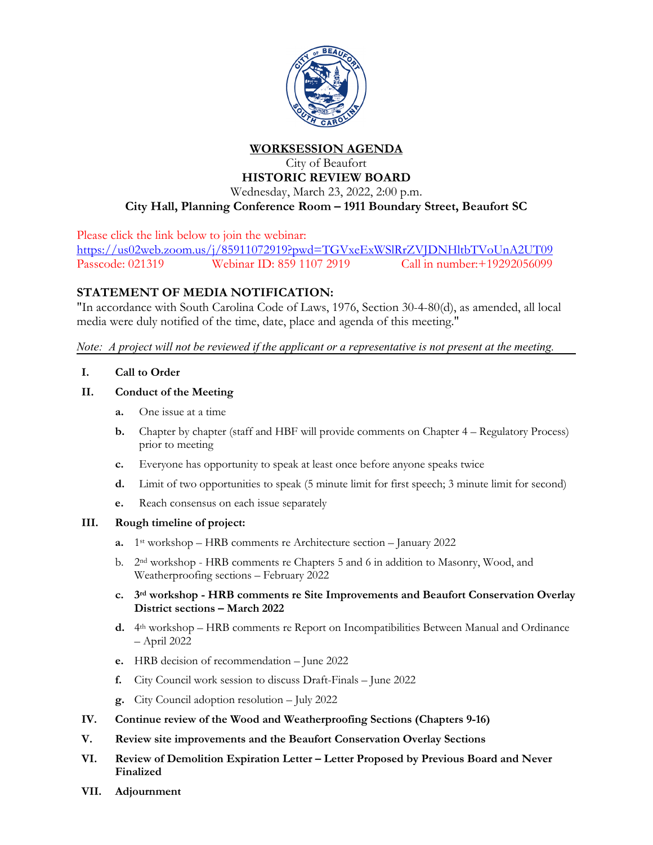

**WORKSESSION AGENDA**

City of Beaufort **HISTORIC REVIEW BOARD**

Wednesday, March 23, 2022, 2:00 p.m. **City Hall, Planning Conference Room – 1911 Boundary Street, Beaufort SC**

Please click the link below to join the webinar:

<https://us02web.zoom.us/j/85911072919?pwd=TGVxeExWSlRrZVJDNHltbTVoUnA2UT09> Passcode: 021319 Webinar ID: 859 1107 2919 Call in number:+19292056099

## **STATEMENT OF MEDIA NOTIFICATION:**

"In accordance with South Carolina Code of Laws, 1976, Section 30-4-80(d), as amended, all local media were duly notified of the time, date, place and agenda of this meeting."

*Note: A project will not be reviewed if the applicant or a representative is not present at the meeting.*

**I. Call to Order**

## **II. Conduct of the Meeting**

- **a.** One issue at a time
- **b.** Chapter by chapter (staff and HBF will provide comments on Chapter 4 Regulatory Process) prior to meeting
- **c.** Everyone has opportunity to speak at least once before anyone speaks twice
- **d.** Limit of two opportunities to speak (5 minute limit for first speech; 3 minute limit for second)
- **e.** Reach consensus on each issue separately

## **III. Rough timeline of project:**

- **a.** 1st workshop HRB comments re Architecture section January 2022
- b. 2nd workshop HRB comments re Chapters 5 and 6 in addition to Masonry, Wood, and Weatherproofing sections – February 2022
- **c. 3rd workshop - HRB comments re Site Improvements and Beaufort Conservation Overlay District sections – March 2022**
- **d.** 4th workshop HRB comments re Report on Incompatibilities Between Manual and Ordinance – April 2022
- **e.** HRB decision of recommendation June 2022
- **f.** City Council work session to discuss Draft-Finals June 2022
- **g.** City Council adoption resolution July 2022
- **IV. Continue review of the Wood and Weatherproofing Sections (Chapters 9-16)**
- **V. Review site improvements and the Beaufort Conservation Overlay Sections**
- **VI. Review of Demolition Expiration Letter – Letter Proposed by Previous Board and Never Finalized**
- **VII. Adjournment**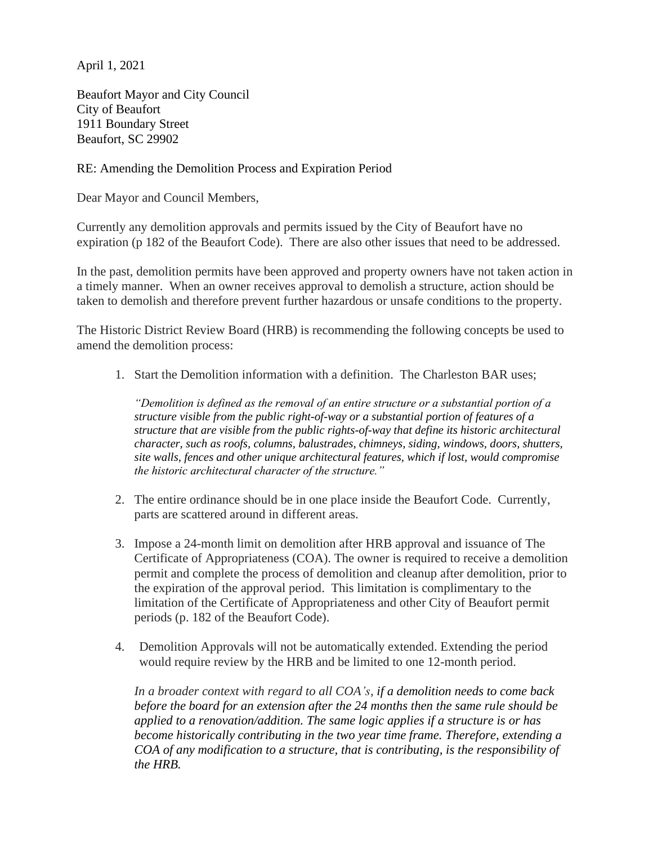April 1, 2021

Beaufort Mayor and City Council City of Beaufort 1911 Boundary Street Beaufort, SC 29902

## RE: Amending the Demolition Process and Expiration Period

Dear Mayor and Council Members,

Currently any demolition approvals and permits issued by the City of Beaufort have no expiration (p 182 of the Beaufort Code). There are also other issues that need to be addressed.

In the past, demolition permits have been approved and property owners have not taken action in a timely manner. When an owner receives approval to demolish a structure, action should be taken to demolish and therefore prevent further hazardous or unsafe conditions to the property.

The Historic District Review Board (HRB) is recommending the following concepts be used to amend the demolition process:

1. Start the Demolition information with a definition. The Charleston BAR uses;

*"Demolition is defined as the removal of an entire structure or a substantial portion of a structure visible from the public right-of-way or a substantial portion of features of a structure that are visible from the public rights-of-way that define its historic architectural character, such as roofs, columns, balustrades, chimneys, siding, windows, doors, shutters, site walls, fences and other unique architectural features, which if lost, would compromise the historic architectural character of the structure."*

- 2. The entire ordinance should be in one place inside the Beaufort Code. Currently, parts are scattered around in different areas.
- 3. Impose a 24-month limit on demolition after HRB approval and issuance of The Certificate of Appropriateness (COA). The owner is required to receive a demolition permit and complete the process of demolition and cleanup after demolition, prior to the expiration of the approval period. This limitation is complimentary to the limitation of the Certificate of Appropriateness and other City of Beaufort permit periods (p. 182 of the Beaufort Code).
- 4. Demolition Approvals will not be automatically extended. Extending the period would require review by the HRB and be limited to one 12-month period.

*In a broader context with regard to all COA's, if a demolition needs to come back before the board for an extension after the 24 months then the same rule should be applied to a renovation/addition. The same logic applies if a structure is or has become historically contributing in the two year time frame. Therefore, extending a COA of any modification to a structure, that is contributing, is the responsibility of the HRB.*